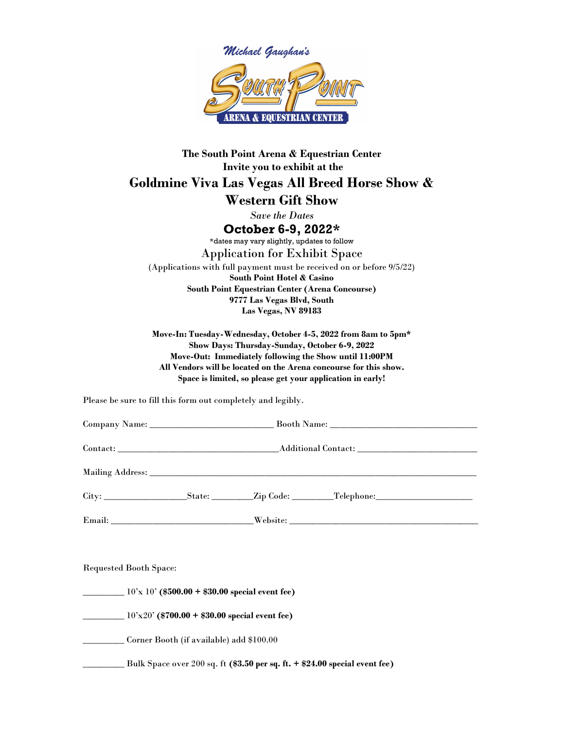

## The South Point Arena & Equestrian Center Invite you to exhibit at the Goldmine Viva Las Vegas All Breed Horse Show & Western Gift Show Save the Dates October 6-9, 2022\* \*dates may vary slightly, updates to follow Application for Exhibit Space (Applications with full payment must be received on or before 9/5/22) South Point Hotel & Casino South Point Equestrian Center (Arena Concourse) 9777 Las Vegas Blvd, South Las Vegas, NV 89183

Move-In: Tuesday-Wednesday, October 4-5, 2022 from 8am to 5pm\* Show Days: Thursday-Sunday, October 6-9, 2022 Move-Out: Immediately following the Show until 11:00PM All Vendors will be located on the Arena concourse for this show. Space is limited, so please get your application in early!

Please be sure to fill this form out completely and legibly.

| <b>Requested Booth Space:</b>                                        |  |  |  |  |
|----------------------------------------------------------------------|--|--|--|--|
| $\frac{10^{7}x}{10^{7}x}$ 10' (\$500.00 + \$30.00 special event fee) |  |  |  |  |

 $10'x20'$  (\$700.00 + \$30.00 special event fee)

\_\_\_\_\_\_\_\_\_ Corner Booth (if available) add \$100.00

Bulk Space over 200 sq. ft (\$3.50 per sq. ft. + \$24.00 special event fee)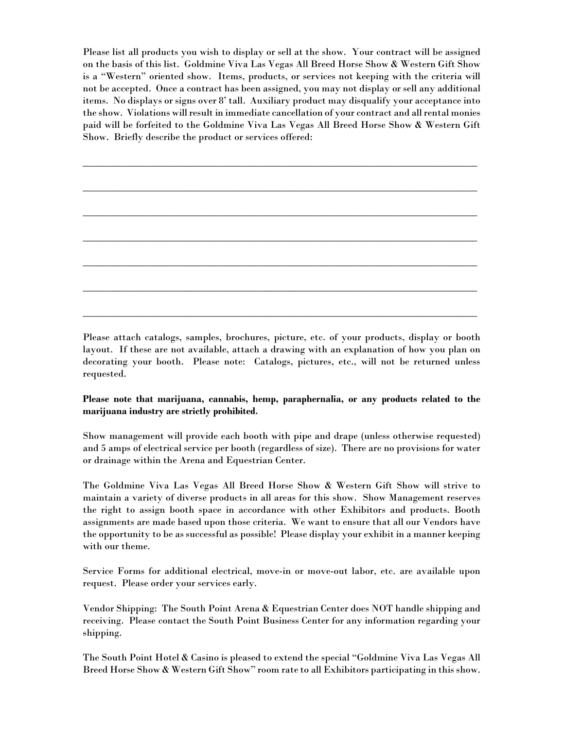Please list all products you wish to display or sell at the show. Your contract will be assigned on the basis of this list. Goldmine Viva Las Vegas All Breed Horse Show & Western Gift Show is a "Western" oriented show. Items, products, or services not keeping with the criteria will not be accepted. Once a contract has been assigned, you may not display or sell any additional items. No displays or signs over 8' tall. Auxiliary product may disqualify your acceptance into the show. Violations will result in immediate cancellation of your contract and all rental monies paid will be forfeited to the Goldmine Viva Las Vegas All Breed Horse Show & Western Gift Show. Briefly describe the product or services offered:

\_\_\_\_\_\_\_\_\_\_\_\_\_\_\_\_\_\_\_\_\_\_\_\_\_\_\_\_\_\_\_\_\_\_\_\_\_\_\_\_\_\_\_\_\_\_\_\_\_\_\_\_\_\_\_\_\_\_\_\_\_\_\_\_\_\_\_\_\_\_\_\_\_\_\_\_\_\_

\_\_\_\_\_\_\_\_\_\_\_\_\_\_\_\_\_\_\_\_\_\_\_\_\_\_\_\_\_\_\_\_\_\_\_\_\_\_\_\_\_\_\_\_\_\_\_\_\_\_\_\_\_\_\_\_\_\_\_\_\_\_\_\_\_\_\_\_\_\_\_\_\_\_\_\_\_\_

\_\_\_\_\_\_\_\_\_\_\_\_\_\_\_\_\_\_\_\_\_\_\_\_\_\_\_\_\_\_\_\_\_\_\_\_\_\_\_\_\_\_\_\_\_\_\_\_\_\_\_\_\_\_\_\_\_\_\_\_\_\_\_\_\_\_\_\_\_\_\_\_\_\_\_\_\_\_

\_\_\_\_\_\_\_\_\_\_\_\_\_\_\_\_\_\_\_\_\_\_\_\_\_\_\_\_\_\_\_\_\_\_\_\_\_\_\_\_\_\_\_\_\_\_\_\_\_\_\_\_\_\_\_\_\_\_\_\_\_\_\_\_\_\_\_\_\_\_\_\_\_\_\_\_\_\_

\_\_\_\_\_\_\_\_\_\_\_\_\_\_\_\_\_\_\_\_\_\_\_\_\_\_\_\_\_\_\_\_\_\_\_\_\_\_\_\_\_\_\_\_\_\_\_\_\_\_\_\_\_\_\_\_\_\_\_\_\_\_\_\_\_\_\_\_\_\_\_\_\_\_\_\_\_\_

\_\_\_\_\_\_\_\_\_\_\_\_\_\_\_\_\_\_\_\_\_\_\_\_\_\_\_\_\_\_\_\_\_\_\_\_\_\_\_\_\_\_\_\_\_\_\_\_\_\_\_\_\_\_\_\_\_\_\_\_\_\_\_\_\_\_\_\_\_\_\_\_\_\_\_\_\_\_

\_\_\_\_\_\_\_\_\_\_\_\_\_\_\_\_\_\_\_\_\_\_\_\_\_\_\_\_\_\_\_\_\_\_\_\_\_\_\_\_\_\_\_\_\_\_\_\_\_\_\_\_\_\_\_\_\_\_\_\_\_\_\_\_\_\_\_\_\_\_\_\_\_\_\_\_\_\_

Please attach catalogs, samples, brochures, picture, etc. of your products, display or booth layout. If these are not available, attach a drawing with an explanation of how you plan on decorating your booth. Please note: Catalogs, pictures, etc., will not be returned unless requested.

## Please note that marijuana, cannabis, hemp, paraphernalia, or any products related to the marijuana industry are strictly prohibited.

Show management will provide each booth with pipe and drape (unless otherwise requested) and 5 amps of electrical service per booth (regardless of size). There are no provisions for water or drainage within the Arena and Equestrian Center.

The Goldmine Viva Las Vegas All Breed Horse Show & Western Gift Show will strive to maintain a variety of diverse products in all areas for this show. Show Management reserves the right to assign booth space in accordance with other Exhibitors and products. Booth assignments are made based upon those criteria. We want to ensure that all our Vendors have the opportunity to be as successful as possible! Please display your exhibit in a manner keeping with our theme.

Service Forms for additional electrical, move-in or move-out labor, etc. are available upon request. Please order your services early.

Vendor Shipping: The South Point Arena & Equestrian Center does NOT handle shipping and receiving. Please contact the South Point Business Center for any information regarding your shipping.

The South Point Hotel & Casino is pleased to extend the special "Goldmine Viva Las Vegas All Breed Horse Show & Western Gift Show" room rate to all Exhibitors participating in this show.